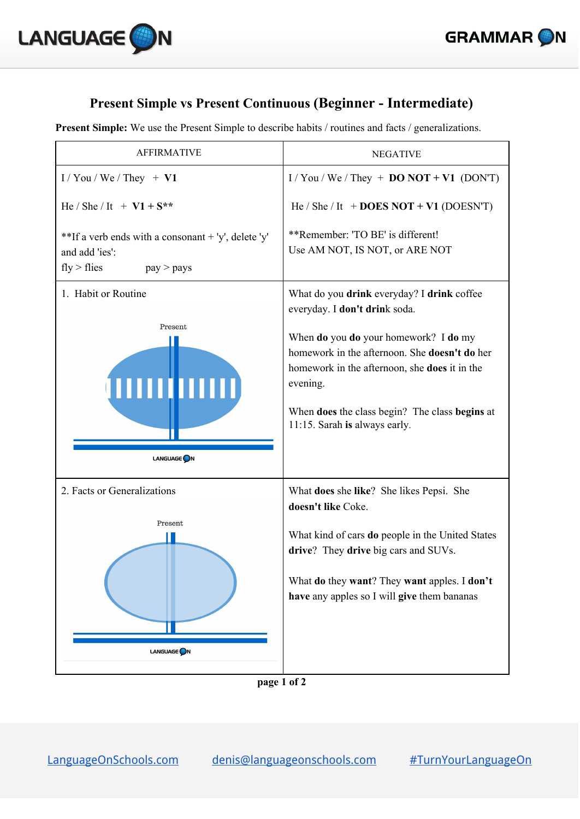



## **Present Simple vs Present Continuous (Beginner Intermediate)**

**Present Simple:**We use the Present Simple to describe habits / routines and facts / generalizations.

| <b>AFFIRMATIVE</b>                                                                                   | <b>NEGATIVE</b>                                                                                                                                                                                                                               |
|------------------------------------------------------------------------------------------------------|-----------------------------------------------------------------------------------------------------------------------------------------------------------------------------------------------------------------------------------------------|
| $I/You/We/They + V1$                                                                                 | $I/You/We/They + DO NOT + V1 (DONT)$                                                                                                                                                                                                          |
| He / She / It + $V1 + S^{**}$                                                                        | He / She / It + DOES NOT + V1 (DOESN'T)                                                                                                                                                                                                       |
| **If a verb ends with a consonant + 'y', delete 'y'<br>and add 'ies':<br>fly > files<br>$pay$ > pays | **Remember: 'TO BE' is different!<br>Use AM NOT, IS NOT, or ARE NOT                                                                                                                                                                           |
| 1. Habit or Routine                                                                                  | What do you drink everyday? I drink coffee<br>everyday. I don't drink soda.                                                                                                                                                                   |
| Present<br>LANGUAGE <sup>ON</sup>                                                                    | When do you do your homework? I do my<br>homework in the afternoon. She <b>doesn't do</b> her<br>homework in the afternoon, she does it in the<br>evening.<br>When does the class begin? The class begins at<br>11:15. Sarah is always early. |
| 2. Facts or Generalizations                                                                          | What <b>does</b> she like? She likes Pepsi. She<br>doesn't like Coke.                                                                                                                                                                         |
| Present<br>LANGUAGE <sup>ON</sup>                                                                    | What kind of cars do people in the United States<br>drive? They drive big cars and SUVs.<br>What do they want? They want apples. I don't<br>have any apples so I will give them bananas                                                       |

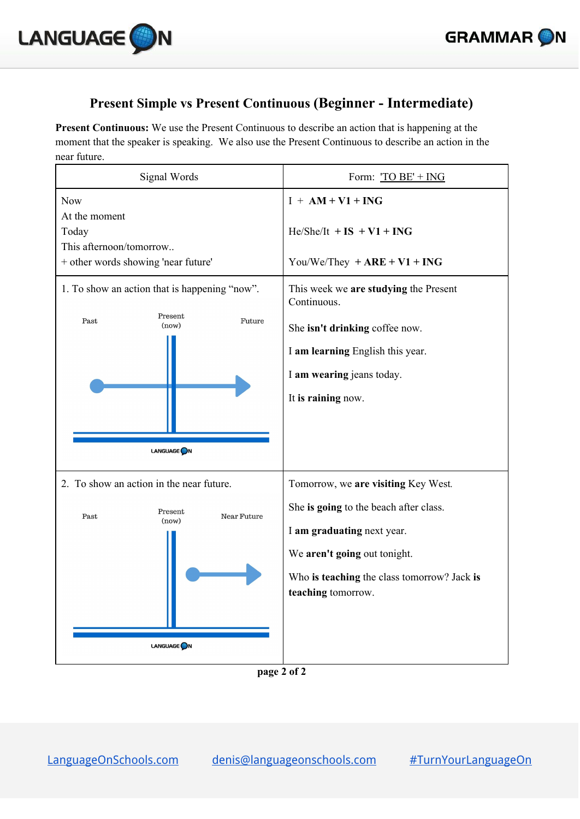## **Present Simple vs Present Continuous (Beginner Intermediate)**

**Present Continuous:**We use the Present Continuous to describe an action that is happening at the moment that the speaker is speaking. We also use the Present Continuous to describe an action in the near future.

| Signal Words                                                                                                                                            | Form: $'TO BE' + ING$                                                                                                                                                                                            |
|---------------------------------------------------------------------------------------------------------------------------------------------------------|------------------------------------------------------------------------------------------------------------------------------------------------------------------------------------------------------------------|
| <b>Now</b><br>At the moment<br>Today<br>This afternoon/tomorrow<br>+ other words showing 'near future'<br>1. To show an action that is happening "now". | $I + AM + V1 + ING$<br>$He/She/It$ + IS + V1 + ING<br>You/We/They $+ ARE + V1 + ING$<br>This week we are studying the Present<br>Continuous.                                                                     |
| Present<br>Past<br>Future<br>(now)<br>LANGUAGE <sup>ON</sup>                                                                                            | She isn't drinking coffee now.<br>I am learning English this year.<br>I am wearing jeans today.<br>It is raining now.                                                                                            |
| 2. To show an action in the near future.<br>Present<br>Past<br>Near Future<br>(now)<br>LANGUAGE <sup>ON</sup>                                           | Tomorrow, we are visiting Key West.<br>She is going to the beach after class.<br>I am graduating next year.<br>We aren't going out tonight.<br>Who is teaching the class tomorrow? Jack is<br>teaching tomorrow. |

**page 2 of 2**